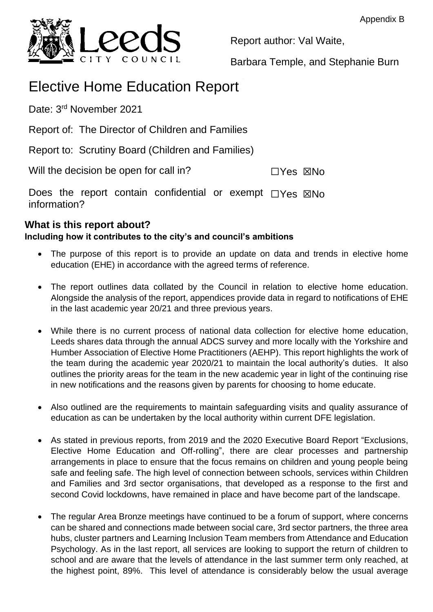

Report author: Val Waite,

Barbara Temple, and Stephanie Burn

# Elective Home Education Report

Date: 3<sup>rd</sup> November 2021

Report of: The Director of Children and Families

Report to: Scrutiny Board (Children and Families)

Will the decision be open for call in? ☐Yes ☒No

Does the report contain confidential or exempt □ Yes ⊠No information?

# **What is this report about?**

## **Including how it contributes to the city's and council's ambitions**

- The purpose of this report is to provide an update on data and trends in elective home education (EHE) in accordance with the agreed terms of reference.
- The report outlines data collated by the Council in relation to elective home education. Alongside the analysis of the report, appendices provide data in regard to notifications of EHE in the last academic year 20/21 and three previous years.
- While there is no current process of national data collection for elective home education, Leeds shares data through the annual ADCS survey and more locally with the Yorkshire and Humber Association of Elective Home Practitioners (AEHP). This report highlights the work of the team during the academic year 2020/21 to maintain the local authority's duties. It also outlines the priority areas for the team in the new academic year in light of the continuing rise in new notifications and the reasons given by parents for choosing to home educate.
- Also outlined are the requirements to maintain safeguarding visits and quality assurance of education as can be undertaken by the local authority within current DFE legislation.
- As stated in previous reports, from 2019 and the 2020 Executive Board Report "Exclusions, Elective Home Education and Off-rolling", there are clear processes and partnership arrangements in place to ensure that the focus remains on children and young people being safe and feeling safe. The high level of connection between schools, services within Children and Families and 3rd sector organisations, that developed as a response to the first and second Covid lockdowns, have remained in place and have become part of the landscape.
- The regular Area Bronze meetings have continued to be a forum of support, where concerns can be shared and connections made between social care, 3rd sector partners, the three area hubs, cluster partners and Learning Inclusion Team members from Attendance and Education Psychology. As in the last report, all services are looking to support the return of children to school and are aware that the levels of attendance in the last summer term only reached, at the highest point, 89%. This level of attendance is considerably below the usual average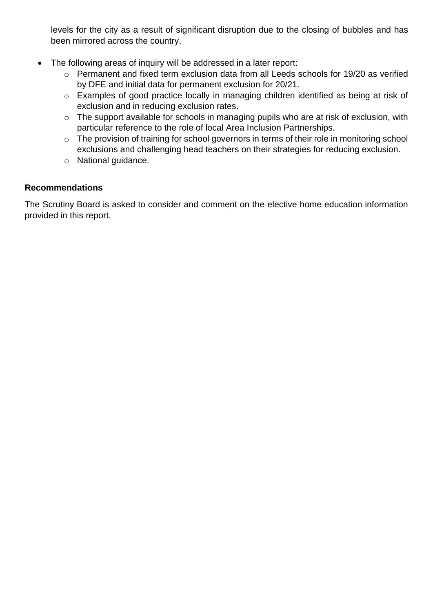levels for the city as a result of significant disruption due to the closing of bubbles and has been mirrored across the country.

- The following areas of inquiry will be addressed in a later report:
	- o Permanent and fixed term exclusion data from all Leeds schools for 19/20 as verified by DFE and initial data for permanent exclusion for 20/21.
	- o Examples of good practice locally in managing children identified as being at risk of exclusion and in reducing exclusion rates.
	- o The support available for schools in managing pupils who are at risk of exclusion, with particular reference to the role of local Area Inclusion Partnerships.
	- o The provision of training for school governors in terms of their role in monitoring school exclusions and challenging head teachers on their strategies for reducing exclusion.
	- o National guidance.

#### **Recommendations**

The Scrutiny Board is asked to consider and comment on the elective home education information provided in this report.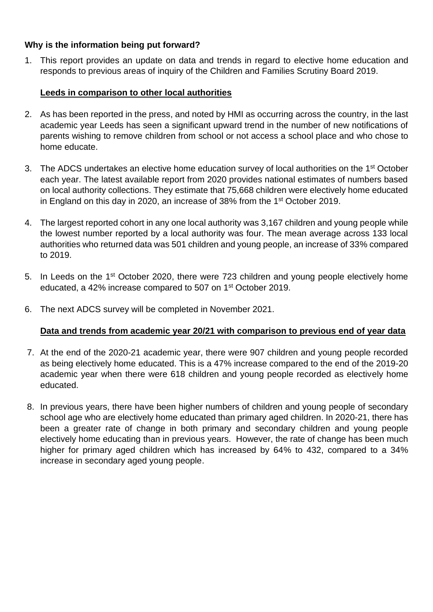#### **Why is the information being put forward?**

1. This report provides an update on data and trends in regard to elective home education and responds to previous areas of inquiry of the Children and Families Scrutiny Board 2019.

#### **Leeds in comparison to other local authorities**

- 2. As has been reported in the press, and noted by HMI as occurring across the country, in the last academic year Leeds has seen a significant upward trend in the number of new notifications of parents wishing to remove children from school or not access a school place and who chose to home educate.
- 3. The ADCS undertakes an elective home education survey of local authorities on the 1<sup>st</sup> October each year. The latest available report from 2020 provides national estimates of numbers based on local authority collections. They estimate that 75,668 children were electively home educated in England on this day in 2020, an increase of 38% from the 1st October 2019.
- 4. The largest reported cohort in any one local authority was 3,167 children and young people while the lowest number reported by a local authority was four. The mean average across 133 local authorities who returned data was 501 children and young people, an increase of 33% compared to 2019.
- 5. In Leeds on the 1<sup>st</sup> October 2020, there were 723 children and young people electively home educated, a 42% increase compared to 507 on 1st October 2019.
- 6. The next ADCS survey will be completed in November 2021.

## **Data and trends from academic year 20/21 with comparison to previous end of year data**

- 7. At the end of the 2020-21 academic year, there were 907 children and young people recorded as being electively home educated. This is a 47% increase compared to the end of the 2019-20 academic year when there were 618 children and young people recorded as electively home educated.
- 8. In previous years, there have been higher numbers of children and young people of secondary school age who are electively home educated than primary aged children. In 2020-21, there has been a greater rate of change in both primary and secondary children and young people electively home educating than in previous years. However, the rate of change has been much higher for primary aged children which has increased by 64% to 432, compared to a 34% increase in secondary aged young people.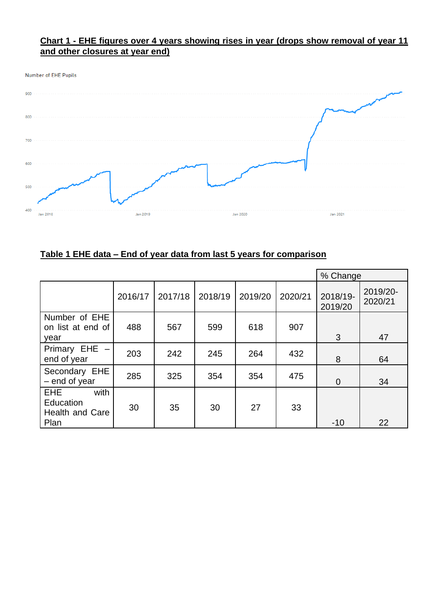#### **Chart 1 - EHE figures over 4 years showing rises in year (drops show removal of year 11 and other closures at year end)**





## **Table 1 EHE data – End of year data from last 5 years for comparison**

|                                                                   |         |         |         |         |         | % Change            |                     |
|-------------------------------------------------------------------|---------|---------|---------|---------|---------|---------------------|---------------------|
|                                                                   | 2016/17 | 2017/18 | 2018/19 | 2019/20 | 2020/21 | 2018/19-<br>2019/20 | 2019/20-<br>2020/21 |
| Number of EHE<br>on list at end of<br>year                        | 488     | 567     | 599     | 618     | 907     | 3                   | 47                  |
| Primary EHE -<br>end of year                                      | 203     | 242     | 245     | 264     | 432     | 8                   | 64                  |
| Secondary EHE<br>$-$ end of year                                  | 285     | 325     | 354     | 354     | 475     | $\overline{0}$      | 34                  |
| with<br><b>EHE</b><br>Education<br><b>Health and Care</b><br>Plan | 30      | 35      | 30      | 27      | 33      | $-10$               | 22                  |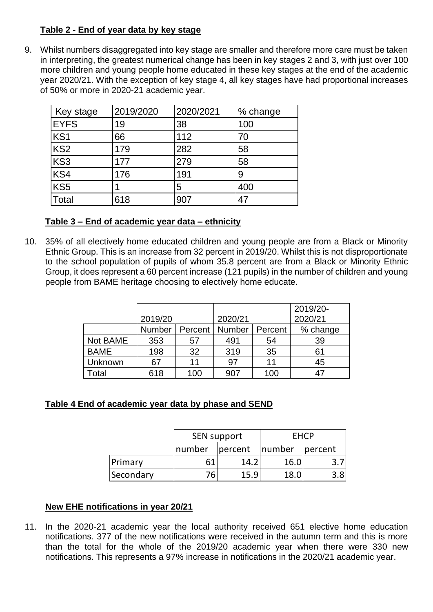#### **Table 2 - End of year data by key stage**

9. Whilst numbers disaggregated into key stage are smaller and therefore more care must be taken in interpreting, the greatest numerical change has been in key stages 2 and 3, with just over 100 more children and young people home educated in these key stages at the end of the academic year 2020/21. With the exception of key stage 4, all key stages have had proportional increases of 50% or more in 2020-21 academic year.

| Key stage       | 2019/2020 | 2020/2021 | % change |
|-----------------|-----------|-----------|----------|
| <b>EYFS</b>     | 19        | 38        | 100      |
| KS <sub>1</sub> | 66        | 112       | 70       |
| KS <sub>2</sub> | 179       | 282       | 58       |
| KS3             | 177       | 279       | 58       |
| KS4             | 176       | 191       | 9        |
| KS <sub>5</sub> |           | 5         | 400      |
| <b>Total</b>    | 618       | 907       | 47       |

#### **Table 3 – End of academic year data – ethnicity**

10. 35% of all electively home educated children and young people are from a Black or Minority Ethnic Group. This is an increase from 32 percent in 2019/20. Whilst this is not disproportionate to the school population of pupils of whom 35.8 percent are from a Black or Minority Ethnic Group, it does represent a 60 percent increase (121 pupils) in the number of children and young people from BAME heritage choosing to electively home educate.

|             |         |     |                  |         | 2019/20- |
|-------------|---------|-----|------------------|---------|----------|
|             | 2019/20 |     | 2020/21          |         | 2020/21  |
|             | Number  |     | Percent   Number | Percent | % change |
| Not BAME    | 353     | 57  | 491              | 54      | 39       |
| <b>BAME</b> | 198     | 32  | 319              | 35      | 61       |
| Unknown     | 67      | 11  | 97               | 11      | 45       |
| Total       | 618     | 100 | 907              | 100     | 47       |

## **Table 4 End of academic year data by phase and SEND**

|           |        | SEN support       | <b>EHCP</b> |                   |  |
|-----------|--------|-------------------|-------------|-------------------|--|
|           | number | number<br>percent |             | <i>s</i> lpercent |  |
| Primary   | 61     | 14.2              | 16.0        |                   |  |
| Secondary | 76.    | 15 Q              | 18.0        |                   |  |

## **New EHE notifications in year 20/21**

11. In the 2020-21 academic year the local authority received 651 elective home education notifications. 377 of the new notifications were received in the autumn term and this is more than the total for the whole of the 2019/20 academic year when there were 330 new notifications. This represents a 97% increase in notifications in the 2020/21 academic year.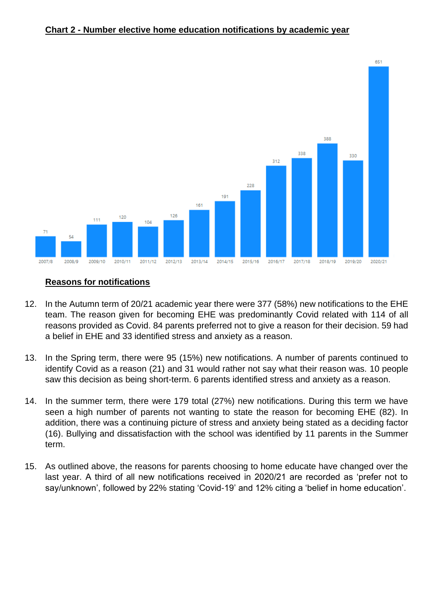#### **Chart 2 - Number elective home education notifications by academic year**



#### **Reasons for notifications**

- 12. In the Autumn term of 20/21 academic year there were 377 (58%) new notifications to the EHE team. The reason given for becoming EHE was predominantly Covid related with 114 of all reasons provided as Covid. 84 parents preferred not to give a reason for their decision. 59 had a belief in EHE and 33 identified stress and anxiety as a reason.
- 13. In the Spring term, there were 95 (15%) new notifications. A number of parents continued to identify Covid as a reason (21) and 31 would rather not say what their reason was. 10 people saw this decision as being short-term. 6 parents identified stress and anxiety as a reason.
- 14. In the summer term, there were 179 total (27%) new notifications. During this term we have seen a high number of parents not wanting to state the reason for becoming EHE (82). In addition, there was a continuing picture of stress and anxiety being stated as a deciding factor (16). Bullying and dissatisfaction with the school was identified by 11 parents in the Summer term.
- 15. As outlined above, the reasons for parents choosing to home educate have changed over the last year. A third of all new notifications received in 2020/21 are recorded as 'prefer not to say/unknown', followed by 22% stating 'Covid-19' and 12% citing a 'belief in home education'.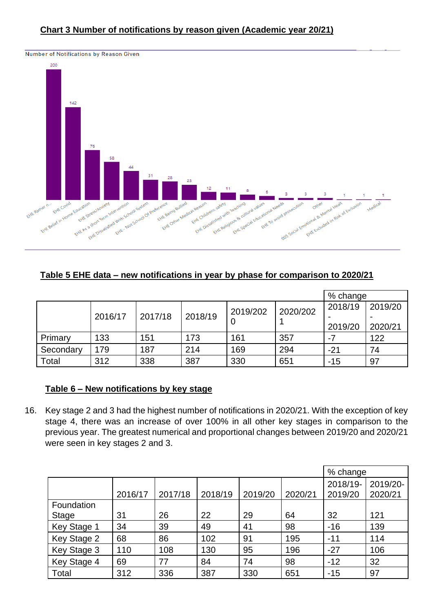

#### **Table 5 EHE data – new notifications in year by phase for comparison to 2020/21**

|           |                               |     |     |          |          | % change |         |
|-----------|-------------------------------|-----|-----|----------|----------|----------|---------|
|           |                               |     |     | 2019/202 | 2020/202 | 2018/19  | 2019/20 |
|           | 2018/19<br>2017/18<br>2016/17 |     |     |          |          |          |         |
|           |                               |     | O   |          |          | 2019/20  | 2020/21 |
| Primary   | 133                           | 151 | 173 | 161      | 357      |          | 122     |
| Secondary | 179                           | 187 | 214 | 169      | 294      | $-21$    | 74      |
| Total     | 312                           | 338 | 387 | 330      | 651      | $-15$    | 97      |

## **Table 6 – New notifications by key stage**

16. Key stage 2 and 3 had the highest number of notifications in 2020/21. With the exception of key stage 4, there was an increase of over 100% in all other key stages in comparison to the previous year. The greatest numerical and proportional changes between 2019/20 and 2020/21 were seen in key stages 2 and 3.

|              |         |         |         |         |         | % change            |                     |
|--------------|---------|---------|---------|---------|---------|---------------------|---------------------|
|              | 2016/17 | 2017/18 | 2018/19 | 2019/20 | 2020/21 | 2018/19-<br>2019/20 | 2019/20-<br>2020/21 |
| Foundation   |         |         |         |         |         |                     |                     |
| <b>Stage</b> | 31      | 26      | 22      | 29      | 64      | 32                  | 121                 |
| Key Stage 1  | 34      | 39      | 49      | 41      | 98      | $-16$               | 139                 |
| Key Stage 2  | 68      | 86      | 102     | 91      | 195     | $-11$               | 114                 |
| Key Stage 3  | 110     | 108     | 130     | 95      | 196     | $-27$               | 106                 |
| Key Stage 4  | 69      | 77      | 84      | 74      | 98      | $-12$               | 32                  |
| Total        | 312     | 336     | 387     | 330     | 651     | $-15$               | 97                  |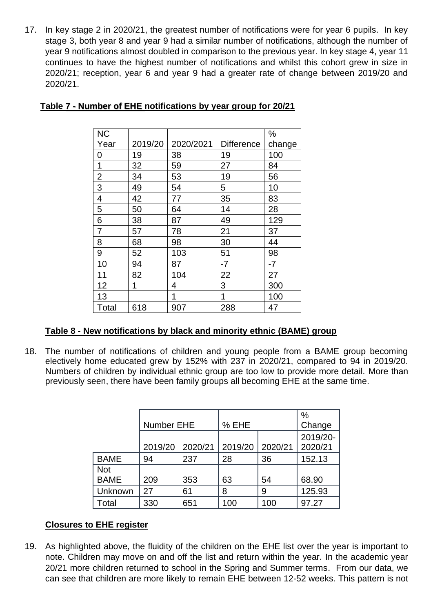17. In key stage 2 in 2020/21, the greatest number of notifications were for year 6 pupils. In key stage 3, both year 8 and year 9 had a similar number of notifications, although the number of year 9 notifications almost doubled in comparison to the previous year. In key stage 4, year 11 continues to have the highest number of notifications and whilst this cohort grew in size in 2020/21; reception, year 6 and year 9 had a greater rate of change between 2019/20 and 2020/21.

| <b>NC</b>      |         |           |                   | %      |
|----------------|---------|-----------|-------------------|--------|
| Year           | 2019/20 | 2020/2021 | <b>Difference</b> | change |
| 0              | 19      | 38        | 19                | 100    |
| 1              | 32      | 59        | 27                | 84     |
| $\overline{2}$ | 34      | 53        | 19                | 56     |
| 3              | 49      | 54        | 5                 | 10     |
| 4              | 42      | 77        | 35                | 83     |
| 5              | 50      | 64        | 14                | 28     |
| 6              | 38      | 87        | 49                | 129    |
| 7              | 57      | 78        | 21                | 37     |
| 8              | 68      | 98        | 30                | 44     |
| 9              | 52      | 103       | 51                | 98     |
| 10             | 94      | 87        | $-7$              | $-7$   |
| 11             | 82      | 104       | 22                | 27     |
| 12             | 1       | 4         | 3                 | 300    |
| 13             |         | 1         | 1                 | 100    |
| Total          | 618     | 907       | 288               | 47     |

#### **Table 7 - Number of EHE notifications by year group for 20/21**

#### **Table 8 - New notifications by black and minority ethnic (BAME) group**

18. The number of notifications of children and young people from a BAME group becoming electively home educated grew by 152% with 237 in 2020/21, compared to 94 in 2019/20. Numbers of children by individual ethnic group are too low to provide more detail. More than previously seen, there have been family groups all becoming EHE at the same time.

|                           | Number EHE |         | % EHE   | $\%$<br>Change |                     |
|---------------------------|------------|---------|---------|----------------|---------------------|
|                           | 2019/20    | 2020/21 | 2019/20 | 2020/21        | 2019/20-<br>2020/21 |
| <b>BAME</b>               | 94         | 237     | 28      | 36             | 152.13              |
| <b>Not</b><br><b>BAME</b> | 209        | 353     | 63      | 54             | 68.90               |
| Unknown                   | 27         | 61      | 8       | 9              | 125.93              |
| Total                     | 330        | 651     | 100     | 100            | 97.27               |

## **Closures to EHE register**

19. As highlighted above, the fluidity of the children on the EHE list over the year is important to note. Children may move on and off the list and return within the year. In the academic year 20/21 more children returned to school in the Spring and Summer terms. From our data, we can see that children are more likely to remain EHE between 12-52 weeks. This pattern is not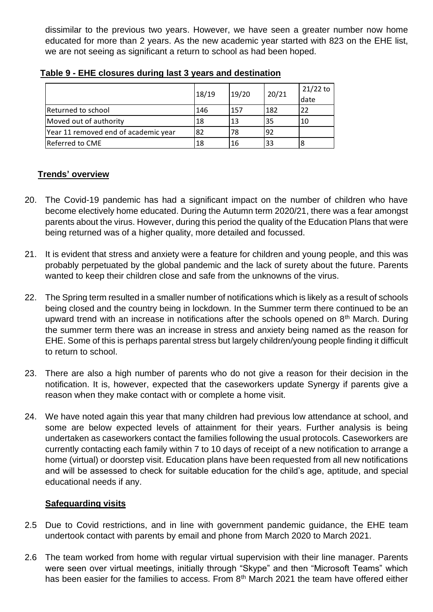dissimilar to the previous two years. However, we have seen a greater number now home educated for more than 2 years. As the new academic year started with 823 on the EHE list, we are not seeing as significant a return to school as had been hoped.

|                                      | 18/19 | 19/20 | 20/21 | $21/22$ to<br>date |
|--------------------------------------|-------|-------|-------|--------------------|
| Returned to school                   | 146   | 157   | 182   | 22                 |
| Moved out of authority               | 18    | .13   | 35    | 10                 |
| Year 11 removed end of academic year | 82    | 78    | 92    |                    |
| Referred to CME                      | 18    | 16    | 33    | 8                  |

**Table 9 - EHE closures during last 3 years and destination** 

## **Trends' overview**

- 20. The Covid-19 pandemic has had a significant impact on the number of children who have become electively home educated. During the Autumn term 2020/21, there was a fear amongst parents about the virus. However, during this period the quality of the Education Plans that were being returned was of a higher quality, more detailed and focussed.
- 21. It is evident that stress and anxiety were a feature for children and young people, and this was probably perpetuated by the global pandemic and the lack of surety about the future. Parents wanted to keep their children close and safe from the unknowns of the virus.
- 22. The Spring term resulted in a smaller number of notifications which is likely as a result of schools being closed and the country being in lockdown. In the Summer term there continued to be an upward trend with an increase in notifications after the schools opened on  $8<sup>th</sup>$  March. During the summer term there was an increase in stress and anxiety being named as the reason for EHE. Some of this is perhaps parental stress but largely children/young people finding it difficult to return to school.
- 23. There are also a high number of parents who do not give a reason for their decision in the notification. It is, however, expected that the caseworkers update Synergy if parents give a reason when they make contact with or complete a home visit.
- 24. We have noted again this year that many children had previous low attendance at school, and some are below expected levels of attainment for their years. Further analysis is being undertaken as caseworkers contact the families following the usual protocols. Caseworkers are currently contacting each family within 7 to 10 days of receipt of a new notification to arrange a home (virtual) or doorstep visit. Education plans have been requested from all new notifications and will be assessed to check for suitable education for the child's age, aptitude, and special educational needs if any.

#### **Safeguarding visits**

- 2.5 Due to Covid restrictions, and in line with government pandemic guidance, the EHE team undertook contact with parents by email and phone from March 2020 to March 2021.
- 2.6 The team worked from home with regular virtual supervision with their line manager. Parents were seen over virtual meetings, initially through "Skype" and then "Microsoft Teams" which has been easier for the families to access. From 8<sup>th</sup> March 2021 the team have offered either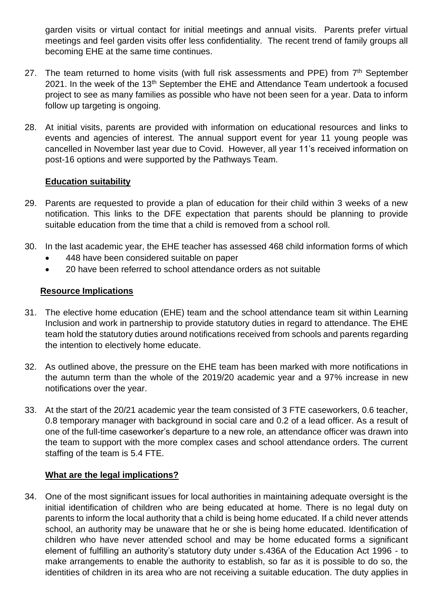garden visits or virtual contact for initial meetings and annual visits. Parents prefer virtual meetings and feel garden visits offer less confidentiality. The recent trend of family groups all becoming EHE at the same time continues.

- 27. The team returned to home visits (with full risk assessments and PPE) from 7<sup>th</sup> September 2021. In the week of the  $13<sup>th</sup>$  September the EHE and Attendance Team undertook a focused project to see as many families as possible who have not been seen for a year. Data to inform follow up targeting is ongoing.
- 28. At initial visits, parents are provided with information on educational resources and links to events and agencies of interest. The annual support event for year 11 young people was cancelled in November last year due to Covid. However, all year 11's received information on post-16 options and were supported by the Pathways Team.

#### **Education suitability**

- 29. Parents are requested to provide a plan of education for their child within 3 weeks of a new notification. This links to the DFE expectation that parents should be planning to provide suitable education from the time that a child is removed from a school roll.
- 30. In the last academic year, the EHE teacher has assessed 468 child information forms of which
	- 448 have been considered suitable on paper
	- 20 have been referred to school attendance orders as not suitable

#### **Resource Implications**

- 31. The elective home education (EHE) team and the school attendance team sit within Learning Inclusion and work in partnership to provide statutory duties in regard to attendance. The EHE team hold the statutory duties around notifications received from schools and parents regarding the intention to electively home educate.
- 32. As outlined above, the pressure on the EHE team has been marked with more notifications in the autumn term than the whole of the 2019/20 academic year and a 97% increase in new notifications over the year.
- 33. At the start of the 20/21 academic year the team consisted of 3 FTE caseworkers, 0.6 teacher, 0.8 temporary manager with background in social care and 0.2 of a lead officer. As a result of one of the full-time caseworker's departure to a new role, an attendance officer was drawn into the team to support with the more complex cases and school attendance orders. The current staffing of the team is 5.4 FTE.

## **What are the legal implications?**

34. One of the most significant issues for local authorities in maintaining adequate oversight is the initial identification of children who are being educated at home. There is no legal duty on parents to inform the local authority that a child is being home educated. If a child never attends school, an authority may be unaware that he or she is being home educated. Identification of children who have never attended school and may be home educated forms a significant element of fulfilling an authority's statutory duty under s.436A of the Education Act 1996 - to make arrangements to enable the authority to establish, so far as it is possible to do so, the identities of children in its area who are not receiving a suitable education. The duty applies in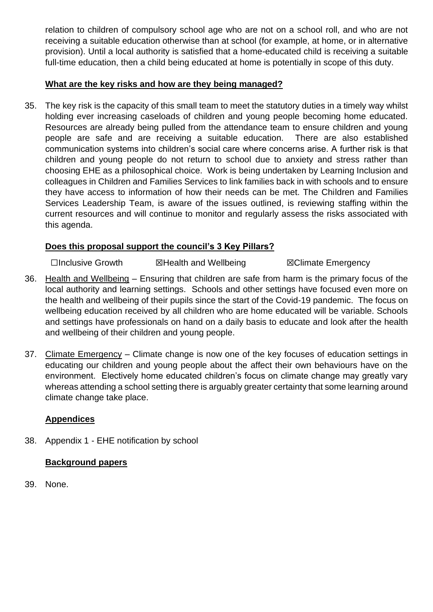relation to children of compulsory school age who are not on a school roll, and who are not receiving a suitable education otherwise than at school (for example, at home, or in alternative provision). Until a local authority is satisfied that a home-educated child is receiving a suitable full-time education, then a child being educated at home is potentially in scope of this duty.

#### **What are the key risks and how are they being managed?**

35. The key risk is the capacity of this small team to meet the statutory duties in a timely way whilst holding ever increasing caseloads of children and young people becoming home educated. Resources are already being pulled from the attendance team to ensure children and young people are safe and are receiving a suitable education. There are also established communication systems into children's social care where concerns arise. A further risk is that children and young people do not return to school due to anxiety and stress rather than choosing EHE as a philosophical choice. Work is being undertaken by Learning Inclusion and colleagues in Children and Families Services to link families back in with schools and to ensure they have access to information of how their needs can be met. The Children and Families Services Leadership Team, is aware of the issues outlined, is reviewing staffing within the current resources and will continue to monitor and regularly assess the risks associated with this agenda.

#### **Does this proposal support the council's 3 Key Pillars?**

☐Inclusive Growth ☒Health and Wellbeing ☒Climate Emergency

- 36. Health and Wellbeing Ensuring that children are safe from harm is the primary focus of the local authority and learning settings. Schools and other settings have focused even more on the health and wellbeing of their pupils since the start of the Covid-19 pandemic. The focus on wellbeing education received by all children who are home educated will be variable. Schools and settings have professionals on hand on a daily basis to educate and look after the health and wellbeing of their children and young people.
- 37. Climate Emergency Climate change is now one of the key focuses of education settings in educating our children and young people about the affect their own behaviours have on the environment. Electively home educated children's focus on climate change may greatly vary whereas attending a school setting there is arguably greater certainty that some learning around climate change take place.

## **Appendices**

38. Appendix 1 - EHE notification by school

#### **Background papers**

39. None.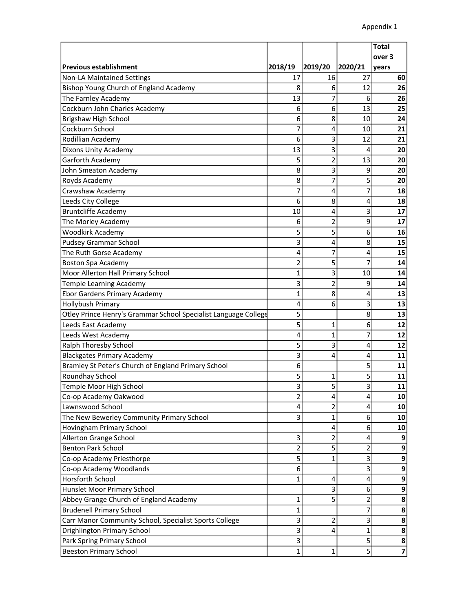|                                                                 |                |                |                | <b>Total</b>            |
|-----------------------------------------------------------------|----------------|----------------|----------------|-------------------------|
|                                                                 |                |                |                | over 3                  |
| <b>Previous establishment</b>                                   | 2018/19        | 2019/20        | 2020/21        | years                   |
| <b>Non-LA Maintained Settings</b>                               | 17             | 16             | 27             | 60                      |
| Bishop Young Church of England Academy                          | 8              | 6              | 12             | 26                      |
| The Farnley Academy                                             | 13             | 7              | 6              | 26                      |
| Cockburn John Charles Academy                                   | 6              | 6              | 13             | 25                      |
| Brigshaw High School                                            | 6              | 8              | 10             | 24                      |
| Cockburn School                                                 | 7              | 4              | 10             | 21                      |
| Rodillian Academy                                               | 6              | 3              | 12             | 21                      |
| Dixons Unity Academy                                            | 13             | 3              | 4              | 20                      |
| Garforth Academy                                                | 5              | $\overline{2}$ | 13             | 20                      |
| John Smeaton Academy                                            | 8              | 3              | 9              | 20                      |
| Royds Academy                                                   | 8              | 7              | 5              | 20                      |
| Crawshaw Academy                                                | 7              | 4              | $\overline{7}$ | 18                      |
| Leeds City College                                              | 6              | 8              | 4              | 18                      |
| <b>Bruntcliffe Academy</b>                                      | 10             | 4              | 3              | 17                      |
| The Morley Academy                                              | 6              | $\overline{2}$ | 9              | 17                      |
| Woodkirk Academy                                                | 5              | 5              | 6              | 16                      |
| <b>Pudsey Grammar School</b>                                    | 3              | 4              | 8              | 15                      |
| The Ruth Gorse Academy                                          | 4              | 7              | 4              | 15                      |
| <b>Boston Spa Academy</b>                                       | 2              | 5              | 7              | 14                      |
| Moor Allerton Hall Primary School                               | 1              | 3              | 10             | 14                      |
| Temple Learning Academy                                         | 3              | $\overline{2}$ | 9              | 14                      |
| <b>Ebor Gardens Primary Academy</b>                             | 1              | 8              | 4              | 13                      |
| Hollybush Primary                                               | 4              | 6              | 3              | 13                      |
| Otley Prince Henry's Grammar School Specialist Language College | 5              |                | 8              | 13                      |
| Leeds East Academy                                              | 5              | $\mathbf{1}$   | 6              | 12                      |
| Leeds West Academy                                              | 4              | 1              | 7              | 12                      |
| Ralph Thoresby School                                           | 5              | 3              | 4              | 12                      |
| <b>Blackgates Primary Academy</b>                               | 3              | 4              | 4              | 11                      |
| Bramley St Peter's Church of England Primary School             | 6              |                | 5              | 11                      |
| Roundhay School                                                 | 5              | 1              | 5              | 11                      |
| Temple Moor High School                                         | 3              | 5              | 3              | 11                      |
| Co-op Academy Oakwood                                           | 2              | 4              | 4              | 10                      |
| Lawnswood School                                                | 4              | 2              | 4              | 10                      |
| The New Bewerley Community Primary School                       | 3              | 1              | 6              | 10                      |
| Hovingham Primary School                                        |                | 4              | 6              | 10                      |
| Allerton Grange School                                          | 3              | 2              | 4              | 9                       |
| <b>Benton Park School</b>                                       | $\overline{2}$ | 5              | 2              | 9                       |
| Co-op Academy Priesthorpe                                       | 5              | 1              | 3              | 9                       |
| Co-op Academy Woodlands                                         | 6              |                | 3              | 9                       |
| <b>Horsforth School</b>                                         | 1              | 4              | 4              | 9                       |
| Hunslet Moor Primary School                                     |                | 3              | 6              | 9                       |
| Abbey Grange Church of England Academy                          | 1              | 5              | 2              | 8                       |
| <b>Brudenell Primary School</b>                                 | 1              |                | 7              | 8                       |
| Carr Manor Community School, Specialist Sports College          | 3              | 2              | 3              | 8                       |
| Drighlington Primary School                                     | 3              | 4              | 1              | 8                       |
| Park Spring Primary School                                      | 3              |                | 5              | 8                       |
| <b>Beeston Primary School</b>                                   | 1              | $\mathbf{1}$   | 5              | $\overline{\mathbf{z}}$ |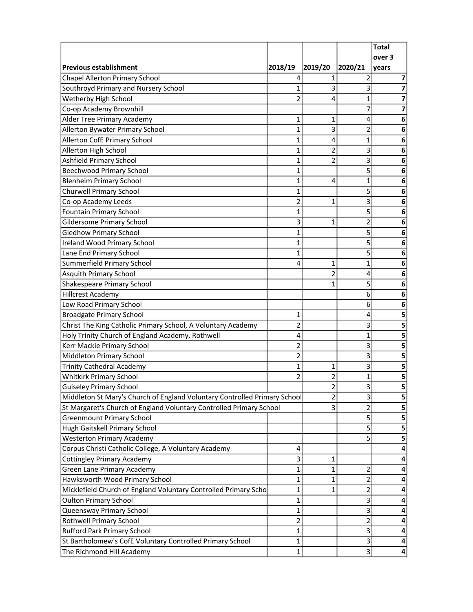| over 3<br>2018/19<br>2019/20<br>2020/21<br>years<br>1<br>4<br>7<br>Southroyd Primary and Nursery School<br>$\mathbf{1}$<br>3<br>3<br>7<br>Wetherby High School<br>$\overline{2}$<br>1<br>7<br>4<br>Co-op Academy Brownhill<br>7<br>7<br><b>Alder Tree Primary Academy</b><br>1<br>1<br>4<br>6<br>Allerton Bywater Primary School<br>$\mathbf{1}$<br>3<br>2<br>6<br>$\mathbf{1}$<br>1<br>4<br>6<br>Allerton High School<br>$\mathbf{1}$<br>3<br>2<br>6<br><b>Ashfield Primary School</b><br>3<br>2<br>1<br>6<br>5<br><b>Beechwood Primary School</b><br>$\mathbf{1}$<br>6<br><b>Blenheim Primary School</b><br>$\mathbf{1}$<br>$\mathbf{1}$<br>4<br>6<br>5<br>Churwell Primary School<br>1<br>6<br>3<br>$\overline{2}$<br>Co-op Academy Leeds<br>1<br>6<br>5<br>Fountain Primary School<br>$\mathbf{1}$<br>6<br>Gildersome Primary School<br>3<br>2<br>$\mathbf{1}$<br>6<br>5<br><b>Gledhow Primary School</b><br>1<br>6<br>5<br>Ireland Wood Primary School<br>1<br>6<br>5<br>Lane End Primary School<br>1<br>6<br>Summerfield Primary School<br>$\mathbf{1}$<br>4<br>1<br>6<br><b>Asquith Primary School</b><br>$\overline{2}$<br>4<br>6<br>5<br>Shakespeare Primary School<br>1<br>6<br>6<br><b>Hillcrest Academy</b><br>6<br>Low Road Primary School<br>6<br>6<br><b>Broadgate Primary School</b><br>5<br>1<br>4<br>Christ The King Catholic Primary School, A Voluntary Academy<br>2<br>3<br>5<br>Holy Trinity Church of England Academy, Rothwell<br>$\mathbf 1$<br>4<br>5<br>3<br>Kerr Mackie Primary School<br>2<br>5<br>Middleton Primary School<br>$\overline{2}$<br>3<br>5<br><b>Trinity Cathedral Academy</b><br>$\mathbf{1}$<br>3<br>5<br>$\mathbf{1}$<br>$\overline{2}$<br><b>Whitkirk Primary School</b><br>1<br>2<br>5<br>3<br>5<br>$\overline{2}$<br><b>Guiseley Primary School</b><br>Middleton St Mary's Church of England Voluntary Controlled Primary School<br>3<br>$\overline{2}$<br>5<br>St Margaret's Church of England Voluntary Controlled Primary School<br>3<br>2<br>5<br><b>Greenmount Primary School</b><br>5<br>5<br>5<br>Hugh Gaitskell Primary School<br>5<br>5<br><b>Westerton Primary Academy</b><br>5<br>Corpus Christi Catholic College, A Voluntary Academy<br>4<br>4<br><b>Cottingley Primary Academy</b><br>3<br>1<br>4<br>Green Lane Primary Academy<br>$\overline{2}$<br>$\mathbf{1}$<br>1<br>4<br>2<br>Hawksworth Wood Primary School<br>1<br>1<br>4<br>Micklefield Church of England Voluntary Controlled Primary Scho<br>2<br>1<br>1<br>4<br><b>Oulton Primary School</b><br>3<br>1<br>4<br>3<br>Queensway Primary School<br>1<br>4<br>$\overline{\mathbf{c}}$<br><b>Rothwell Primary School</b><br>$\overline{\mathbf{c}}$<br>4<br>3<br>Rufford Park Primary School<br>1<br>4<br>St Bartholomew's CofE Voluntary Controlled Primary School<br>3<br>1<br>4 |                                |  | <b>Total</b> |
|---------------------------------------------------------------------------------------------------------------------------------------------------------------------------------------------------------------------------------------------------------------------------------------------------------------------------------------------------------------------------------------------------------------------------------------------------------------------------------------------------------------------------------------------------------------------------------------------------------------------------------------------------------------------------------------------------------------------------------------------------------------------------------------------------------------------------------------------------------------------------------------------------------------------------------------------------------------------------------------------------------------------------------------------------------------------------------------------------------------------------------------------------------------------------------------------------------------------------------------------------------------------------------------------------------------------------------------------------------------------------------------------------------------------------------------------------------------------------------------------------------------------------------------------------------------------------------------------------------------------------------------------------------------------------------------------------------------------------------------------------------------------------------------------------------------------------------------------------------------------------------------------------------------------------------------------------------------------------------------------------------------------------------------------------------------------------------------------------------------------------------------------------------------------------------------------------------------------------------------------------------------------------------------------------------------------------------------------------------------------------------------------------------------------------------------------------------------------------------------------------------------------------------------------------------------------------------------------------------------------------------------------------------------------------------------------------------------------------------------------------------------------------------------------------------|--------------------------------|--|--------------|
|                                                                                                                                                                                                                                                                                                                                                                                                                                                                                                                                                                                                                                                                                                                                                                                                                                                                                                                                                                                                                                                                                                                                                                                                                                                                                                                                                                                                                                                                                                                                                                                                                                                                                                                                                                                                                                                                                                                                                                                                                                                                                                                                                                                                                                                                                                                                                                                                                                                                                                                                                                                                                                                                                                                                                                                                         |                                |  |              |
|                                                                                                                                                                                                                                                                                                                                                                                                                                                                                                                                                                                                                                                                                                                                                                                                                                                                                                                                                                                                                                                                                                                                                                                                                                                                                                                                                                                                                                                                                                                                                                                                                                                                                                                                                                                                                                                                                                                                                                                                                                                                                                                                                                                                                                                                                                                                                                                                                                                                                                                                                                                                                                                                                                                                                                                                         | Previous establishment         |  |              |
|                                                                                                                                                                                                                                                                                                                                                                                                                                                                                                                                                                                                                                                                                                                                                                                                                                                                                                                                                                                                                                                                                                                                                                                                                                                                                                                                                                                                                                                                                                                                                                                                                                                                                                                                                                                                                                                                                                                                                                                                                                                                                                                                                                                                                                                                                                                                                                                                                                                                                                                                                                                                                                                                                                                                                                                                         | Chapel Allerton Primary School |  |              |
|                                                                                                                                                                                                                                                                                                                                                                                                                                                                                                                                                                                                                                                                                                                                                                                                                                                                                                                                                                                                                                                                                                                                                                                                                                                                                                                                                                                                                                                                                                                                                                                                                                                                                                                                                                                                                                                                                                                                                                                                                                                                                                                                                                                                                                                                                                                                                                                                                                                                                                                                                                                                                                                                                                                                                                                                         |                                |  |              |
|                                                                                                                                                                                                                                                                                                                                                                                                                                                                                                                                                                                                                                                                                                                                                                                                                                                                                                                                                                                                                                                                                                                                                                                                                                                                                                                                                                                                                                                                                                                                                                                                                                                                                                                                                                                                                                                                                                                                                                                                                                                                                                                                                                                                                                                                                                                                                                                                                                                                                                                                                                                                                                                                                                                                                                                                         |                                |  |              |
|                                                                                                                                                                                                                                                                                                                                                                                                                                                                                                                                                                                                                                                                                                                                                                                                                                                                                                                                                                                                                                                                                                                                                                                                                                                                                                                                                                                                                                                                                                                                                                                                                                                                                                                                                                                                                                                                                                                                                                                                                                                                                                                                                                                                                                                                                                                                                                                                                                                                                                                                                                                                                                                                                                                                                                                                         |                                |  |              |
|                                                                                                                                                                                                                                                                                                                                                                                                                                                                                                                                                                                                                                                                                                                                                                                                                                                                                                                                                                                                                                                                                                                                                                                                                                                                                                                                                                                                                                                                                                                                                                                                                                                                                                                                                                                                                                                                                                                                                                                                                                                                                                                                                                                                                                                                                                                                                                                                                                                                                                                                                                                                                                                                                                                                                                                                         |                                |  |              |
|                                                                                                                                                                                                                                                                                                                                                                                                                                                                                                                                                                                                                                                                                                                                                                                                                                                                                                                                                                                                                                                                                                                                                                                                                                                                                                                                                                                                                                                                                                                                                                                                                                                                                                                                                                                                                                                                                                                                                                                                                                                                                                                                                                                                                                                                                                                                                                                                                                                                                                                                                                                                                                                                                                                                                                                                         |                                |  |              |
|                                                                                                                                                                                                                                                                                                                                                                                                                                                                                                                                                                                                                                                                                                                                                                                                                                                                                                                                                                                                                                                                                                                                                                                                                                                                                                                                                                                                                                                                                                                                                                                                                                                                                                                                                                                                                                                                                                                                                                                                                                                                                                                                                                                                                                                                                                                                                                                                                                                                                                                                                                                                                                                                                                                                                                                                         | Allerton CofE Primary School   |  |              |
|                                                                                                                                                                                                                                                                                                                                                                                                                                                                                                                                                                                                                                                                                                                                                                                                                                                                                                                                                                                                                                                                                                                                                                                                                                                                                                                                                                                                                                                                                                                                                                                                                                                                                                                                                                                                                                                                                                                                                                                                                                                                                                                                                                                                                                                                                                                                                                                                                                                                                                                                                                                                                                                                                                                                                                                                         |                                |  |              |
|                                                                                                                                                                                                                                                                                                                                                                                                                                                                                                                                                                                                                                                                                                                                                                                                                                                                                                                                                                                                                                                                                                                                                                                                                                                                                                                                                                                                                                                                                                                                                                                                                                                                                                                                                                                                                                                                                                                                                                                                                                                                                                                                                                                                                                                                                                                                                                                                                                                                                                                                                                                                                                                                                                                                                                                                         |                                |  |              |
|                                                                                                                                                                                                                                                                                                                                                                                                                                                                                                                                                                                                                                                                                                                                                                                                                                                                                                                                                                                                                                                                                                                                                                                                                                                                                                                                                                                                                                                                                                                                                                                                                                                                                                                                                                                                                                                                                                                                                                                                                                                                                                                                                                                                                                                                                                                                                                                                                                                                                                                                                                                                                                                                                                                                                                                                         |                                |  |              |
|                                                                                                                                                                                                                                                                                                                                                                                                                                                                                                                                                                                                                                                                                                                                                                                                                                                                                                                                                                                                                                                                                                                                                                                                                                                                                                                                                                                                                                                                                                                                                                                                                                                                                                                                                                                                                                                                                                                                                                                                                                                                                                                                                                                                                                                                                                                                                                                                                                                                                                                                                                                                                                                                                                                                                                                                         |                                |  |              |
|                                                                                                                                                                                                                                                                                                                                                                                                                                                                                                                                                                                                                                                                                                                                                                                                                                                                                                                                                                                                                                                                                                                                                                                                                                                                                                                                                                                                                                                                                                                                                                                                                                                                                                                                                                                                                                                                                                                                                                                                                                                                                                                                                                                                                                                                                                                                                                                                                                                                                                                                                                                                                                                                                                                                                                                                         |                                |  |              |
|                                                                                                                                                                                                                                                                                                                                                                                                                                                                                                                                                                                                                                                                                                                                                                                                                                                                                                                                                                                                                                                                                                                                                                                                                                                                                                                                                                                                                                                                                                                                                                                                                                                                                                                                                                                                                                                                                                                                                                                                                                                                                                                                                                                                                                                                                                                                                                                                                                                                                                                                                                                                                                                                                                                                                                                                         |                                |  |              |
|                                                                                                                                                                                                                                                                                                                                                                                                                                                                                                                                                                                                                                                                                                                                                                                                                                                                                                                                                                                                                                                                                                                                                                                                                                                                                                                                                                                                                                                                                                                                                                                                                                                                                                                                                                                                                                                                                                                                                                                                                                                                                                                                                                                                                                                                                                                                                                                                                                                                                                                                                                                                                                                                                                                                                                                                         |                                |  |              |
|                                                                                                                                                                                                                                                                                                                                                                                                                                                                                                                                                                                                                                                                                                                                                                                                                                                                                                                                                                                                                                                                                                                                                                                                                                                                                                                                                                                                                                                                                                                                                                                                                                                                                                                                                                                                                                                                                                                                                                                                                                                                                                                                                                                                                                                                                                                                                                                                                                                                                                                                                                                                                                                                                                                                                                                                         |                                |  |              |
|                                                                                                                                                                                                                                                                                                                                                                                                                                                                                                                                                                                                                                                                                                                                                                                                                                                                                                                                                                                                                                                                                                                                                                                                                                                                                                                                                                                                                                                                                                                                                                                                                                                                                                                                                                                                                                                                                                                                                                                                                                                                                                                                                                                                                                                                                                                                                                                                                                                                                                                                                                                                                                                                                                                                                                                                         |                                |  |              |
|                                                                                                                                                                                                                                                                                                                                                                                                                                                                                                                                                                                                                                                                                                                                                                                                                                                                                                                                                                                                                                                                                                                                                                                                                                                                                                                                                                                                                                                                                                                                                                                                                                                                                                                                                                                                                                                                                                                                                                                                                                                                                                                                                                                                                                                                                                                                                                                                                                                                                                                                                                                                                                                                                                                                                                                                         |                                |  |              |
|                                                                                                                                                                                                                                                                                                                                                                                                                                                                                                                                                                                                                                                                                                                                                                                                                                                                                                                                                                                                                                                                                                                                                                                                                                                                                                                                                                                                                                                                                                                                                                                                                                                                                                                                                                                                                                                                                                                                                                                                                                                                                                                                                                                                                                                                                                                                                                                                                                                                                                                                                                                                                                                                                                                                                                                                         |                                |  |              |
|                                                                                                                                                                                                                                                                                                                                                                                                                                                                                                                                                                                                                                                                                                                                                                                                                                                                                                                                                                                                                                                                                                                                                                                                                                                                                                                                                                                                                                                                                                                                                                                                                                                                                                                                                                                                                                                                                                                                                                                                                                                                                                                                                                                                                                                                                                                                                                                                                                                                                                                                                                                                                                                                                                                                                                                                         |                                |  |              |
|                                                                                                                                                                                                                                                                                                                                                                                                                                                                                                                                                                                                                                                                                                                                                                                                                                                                                                                                                                                                                                                                                                                                                                                                                                                                                                                                                                                                                                                                                                                                                                                                                                                                                                                                                                                                                                                                                                                                                                                                                                                                                                                                                                                                                                                                                                                                                                                                                                                                                                                                                                                                                                                                                                                                                                                                         |                                |  |              |
|                                                                                                                                                                                                                                                                                                                                                                                                                                                                                                                                                                                                                                                                                                                                                                                                                                                                                                                                                                                                                                                                                                                                                                                                                                                                                                                                                                                                                                                                                                                                                                                                                                                                                                                                                                                                                                                                                                                                                                                                                                                                                                                                                                                                                                                                                                                                                                                                                                                                                                                                                                                                                                                                                                                                                                                                         |                                |  |              |
|                                                                                                                                                                                                                                                                                                                                                                                                                                                                                                                                                                                                                                                                                                                                                                                                                                                                                                                                                                                                                                                                                                                                                                                                                                                                                                                                                                                                                                                                                                                                                                                                                                                                                                                                                                                                                                                                                                                                                                                                                                                                                                                                                                                                                                                                                                                                                                                                                                                                                                                                                                                                                                                                                                                                                                                                         |                                |  |              |
|                                                                                                                                                                                                                                                                                                                                                                                                                                                                                                                                                                                                                                                                                                                                                                                                                                                                                                                                                                                                                                                                                                                                                                                                                                                                                                                                                                                                                                                                                                                                                                                                                                                                                                                                                                                                                                                                                                                                                                                                                                                                                                                                                                                                                                                                                                                                                                                                                                                                                                                                                                                                                                                                                                                                                                                                         |                                |  |              |
|                                                                                                                                                                                                                                                                                                                                                                                                                                                                                                                                                                                                                                                                                                                                                                                                                                                                                                                                                                                                                                                                                                                                                                                                                                                                                                                                                                                                                                                                                                                                                                                                                                                                                                                                                                                                                                                                                                                                                                                                                                                                                                                                                                                                                                                                                                                                                                                                                                                                                                                                                                                                                                                                                                                                                                                                         |                                |  |              |
|                                                                                                                                                                                                                                                                                                                                                                                                                                                                                                                                                                                                                                                                                                                                                                                                                                                                                                                                                                                                                                                                                                                                                                                                                                                                                                                                                                                                                                                                                                                                                                                                                                                                                                                                                                                                                                                                                                                                                                                                                                                                                                                                                                                                                                                                                                                                                                                                                                                                                                                                                                                                                                                                                                                                                                                                         |                                |  |              |
|                                                                                                                                                                                                                                                                                                                                                                                                                                                                                                                                                                                                                                                                                                                                                                                                                                                                                                                                                                                                                                                                                                                                                                                                                                                                                                                                                                                                                                                                                                                                                                                                                                                                                                                                                                                                                                                                                                                                                                                                                                                                                                                                                                                                                                                                                                                                                                                                                                                                                                                                                                                                                                                                                                                                                                                                         |                                |  |              |
|                                                                                                                                                                                                                                                                                                                                                                                                                                                                                                                                                                                                                                                                                                                                                                                                                                                                                                                                                                                                                                                                                                                                                                                                                                                                                                                                                                                                                                                                                                                                                                                                                                                                                                                                                                                                                                                                                                                                                                                                                                                                                                                                                                                                                                                                                                                                                                                                                                                                                                                                                                                                                                                                                                                                                                                                         |                                |  |              |
|                                                                                                                                                                                                                                                                                                                                                                                                                                                                                                                                                                                                                                                                                                                                                                                                                                                                                                                                                                                                                                                                                                                                                                                                                                                                                                                                                                                                                                                                                                                                                                                                                                                                                                                                                                                                                                                                                                                                                                                                                                                                                                                                                                                                                                                                                                                                                                                                                                                                                                                                                                                                                                                                                                                                                                                                         |                                |  |              |
|                                                                                                                                                                                                                                                                                                                                                                                                                                                                                                                                                                                                                                                                                                                                                                                                                                                                                                                                                                                                                                                                                                                                                                                                                                                                                                                                                                                                                                                                                                                                                                                                                                                                                                                                                                                                                                                                                                                                                                                                                                                                                                                                                                                                                                                                                                                                                                                                                                                                                                                                                                                                                                                                                                                                                                                                         |                                |  |              |
|                                                                                                                                                                                                                                                                                                                                                                                                                                                                                                                                                                                                                                                                                                                                                                                                                                                                                                                                                                                                                                                                                                                                                                                                                                                                                                                                                                                                                                                                                                                                                                                                                                                                                                                                                                                                                                                                                                                                                                                                                                                                                                                                                                                                                                                                                                                                                                                                                                                                                                                                                                                                                                                                                                                                                                                                         |                                |  |              |
|                                                                                                                                                                                                                                                                                                                                                                                                                                                                                                                                                                                                                                                                                                                                                                                                                                                                                                                                                                                                                                                                                                                                                                                                                                                                                                                                                                                                                                                                                                                                                                                                                                                                                                                                                                                                                                                                                                                                                                                                                                                                                                                                                                                                                                                                                                                                                                                                                                                                                                                                                                                                                                                                                                                                                                                                         |                                |  |              |
|                                                                                                                                                                                                                                                                                                                                                                                                                                                                                                                                                                                                                                                                                                                                                                                                                                                                                                                                                                                                                                                                                                                                                                                                                                                                                                                                                                                                                                                                                                                                                                                                                                                                                                                                                                                                                                                                                                                                                                                                                                                                                                                                                                                                                                                                                                                                                                                                                                                                                                                                                                                                                                                                                                                                                                                                         |                                |  |              |
|                                                                                                                                                                                                                                                                                                                                                                                                                                                                                                                                                                                                                                                                                                                                                                                                                                                                                                                                                                                                                                                                                                                                                                                                                                                                                                                                                                                                                                                                                                                                                                                                                                                                                                                                                                                                                                                                                                                                                                                                                                                                                                                                                                                                                                                                                                                                                                                                                                                                                                                                                                                                                                                                                                                                                                                                         |                                |  |              |
|                                                                                                                                                                                                                                                                                                                                                                                                                                                                                                                                                                                                                                                                                                                                                                                                                                                                                                                                                                                                                                                                                                                                                                                                                                                                                                                                                                                                                                                                                                                                                                                                                                                                                                                                                                                                                                                                                                                                                                                                                                                                                                                                                                                                                                                                                                                                                                                                                                                                                                                                                                                                                                                                                                                                                                                                         |                                |  |              |
|                                                                                                                                                                                                                                                                                                                                                                                                                                                                                                                                                                                                                                                                                                                                                                                                                                                                                                                                                                                                                                                                                                                                                                                                                                                                                                                                                                                                                                                                                                                                                                                                                                                                                                                                                                                                                                                                                                                                                                                                                                                                                                                                                                                                                                                                                                                                                                                                                                                                                                                                                                                                                                                                                                                                                                                                         |                                |  |              |
|                                                                                                                                                                                                                                                                                                                                                                                                                                                                                                                                                                                                                                                                                                                                                                                                                                                                                                                                                                                                                                                                                                                                                                                                                                                                                                                                                                                                                                                                                                                                                                                                                                                                                                                                                                                                                                                                                                                                                                                                                                                                                                                                                                                                                                                                                                                                                                                                                                                                                                                                                                                                                                                                                                                                                                                                         |                                |  |              |
|                                                                                                                                                                                                                                                                                                                                                                                                                                                                                                                                                                                                                                                                                                                                                                                                                                                                                                                                                                                                                                                                                                                                                                                                                                                                                                                                                                                                                                                                                                                                                                                                                                                                                                                                                                                                                                                                                                                                                                                                                                                                                                                                                                                                                                                                                                                                                                                                                                                                                                                                                                                                                                                                                                                                                                                                         |                                |  |              |
|                                                                                                                                                                                                                                                                                                                                                                                                                                                                                                                                                                                                                                                                                                                                                                                                                                                                                                                                                                                                                                                                                                                                                                                                                                                                                                                                                                                                                                                                                                                                                                                                                                                                                                                                                                                                                                                                                                                                                                                                                                                                                                                                                                                                                                                                                                                                                                                                                                                                                                                                                                                                                                                                                                                                                                                                         |                                |  |              |
|                                                                                                                                                                                                                                                                                                                                                                                                                                                                                                                                                                                                                                                                                                                                                                                                                                                                                                                                                                                                                                                                                                                                                                                                                                                                                                                                                                                                                                                                                                                                                                                                                                                                                                                                                                                                                                                                                                                                                                                                                                                                                                                                                                                                                                                                                                                                                                                                                                                                                                                                                                                                                                                                                                                                                                                                         |                                |  |              |
|                                                                                                                                                                                                                                                                                                                                                                                                                                                                                                                                                                                                                                                                                                                                                                                                                                                                                                                                                                                                                                                                                                                                                                                                                                                                                                                                                                                                                                                                                                                                                                                                                                                                                                                                                                                                                                                                                                                                                                                                                                                                                                                                                                                                                                                                                                                                                                                                                                                                                                                                                                                                                                                                                                                                                                                                         |                                |  |              |
|                                                                                                                                                                                                                                                                                                                                                                                                                                                                                                                                                                                                                                                                                                                                                                                                                                                                                                                                                                                                                                                                                                                                                                                                                                                                                                                                                                                                                                                                                                                                                                                                                                                                                                                                                                                                                                                                                                                                                                                                                                                                                                                                                                                                                                                                                                                                                                                                                                                                                                                                                                                                                                                                                                                                                                                                         |                                |  |              |
|                                                                                                                                                                                                                                                                                                                                                                                                                                                                                                                                                                                                                                                                                                                                                                                                                                                                                                                                                                                                                                                                                                                                                                                                                                                                                                                                                                                                                                                                                                                                                                                                                                                                                                                                                                                                                                                                                                                                                                                                                                                                                                                                                                                                                                                                                                                                                                                                                                                                                                                                                                                                                                                                                                                                                                                                         |                                |  |              |
|                                                                                                                                                                                                                                                                                                                                                                                                                                                                                                                                                                                                                                                                                                                                                                                                                                                                                                                                                                                                                                                                                                                                                                                                                                                                                                                                                                                                                                                                                                                                                                                                                                                                                                                                                                                                                                                                                                                                                                                                                                                                                                                                                                                                                                                                                                                                                                                                                                                                                                                                                                                                                                                                                                                                                                                                         |                                |  |              |
|                                                                                                                                                                                                                                                                                                                                                                                                                                                                                                                                                                                                                                                                                                                                                                                                                                                                                                                                                                                                                                                                                                                                                                                                                                                                                                                                                                                                                                                                                                                                                                                                                                                                                                                                                                                                                                                                                                                                                                                                                                                                                                                                                                                                                                                                                                                                                                                                                                                                                                                                                                                                                                                                                                                                                                                                         |                                |  |              |
|                                                                                                                                                                                                                                                                                                                                                                                                                                                                                                                                                                                                                                                                                                                                                                                                                                                                                                                                                                                                                                                                                                                                                                                                                                                                                                                                                                                                                                                                                                                                                                                                                                                                                                                                                                                                                                                                                                                                                                                                                                                                                                                                                                                                                                                                                                                                                                                                                                                                                                                                                                                                                                                                                                                                                                                                         |                                |  |              |
|                                                                                                                                                                                                                                                                                                                                                                                                                                                                                                                                                                                                                                                                                                                                                                                                                                                                                                                                                                                                                                                                                                                                                                                                                                                                                                                                                                                                                                                                                                                                                                                                                                                                                                                                                                                                                                                                                                                                                                                                                                                                                                                                                                                                                                                                                                                                                                                                                                                                                                                                                                                                                                                                                                                                                                                                         |                                |  |              |
| 3<br>The Richmond Hill Academy<br>$\mathbf{1}$<br>4                                                                                                                                                                                                                                                                                                                                                                                                                                                                                                                                                                                                                                                                                                                                                                                                                                                                                                                                                                                                                                                                                                                                                                                                                                                                                                                                                                                                                                                                                                                                                                                                                                                                                                                                                                                                                                                                                                                                                                                                                                                                                                                                                                                                                                                                                                                                                                                                                                                                                                                                                                                                                                                                                                                                                     |                                |  |              |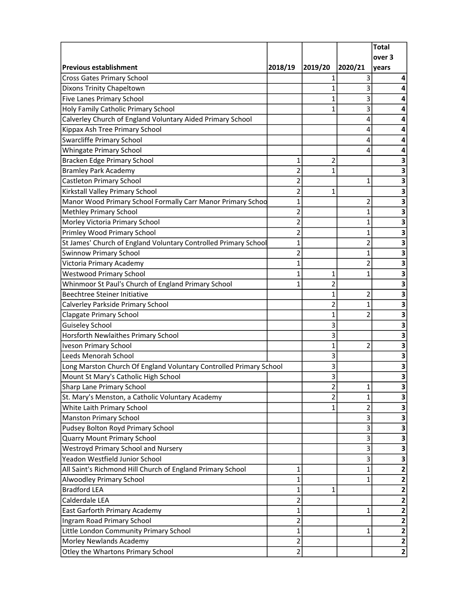|                                                                    |                |                |              | <b>Total</b>            |
|--------------------------------------------------------------------|----------------|----------------|--------------|-------------------------|
|                                                                    |                |                |              | over 3                  |
| Previous establishment                                             | 2018/19        | 2019/20        | 2020/21      | years                   |
| <b>Cross Gates Primary School</b>                                  |                | 1              | 3            | 4                       |
| Dixons Trinity Chapeltown                                          |                | 1              | 3            | 4                       |
| Five Lanes Primary School                                          |                | 1              | 3            |                         |
| Holy Family Catholic Primary School                                |                | 1              | 3            | 4                       |
| Calverley Church of England Voluntary Aided Primary School         |                |                | 4            | 4                       |
| Kippax Ash Tree Primary School                                     |                |                | 4            | 4                       |
| <b>Swarcliffe Primary School</b>                                   |                |                | 4            | 4                       |
| Whingate Primary School                                            |                |                | 4            | 4                       |
| Bracken Edge Primary School                                        | 1              | 2              |              | З                       |
| <b>Bramley Park Academy</b>                                        | 2              | $\mathbf{1}$   |              | 3                       |
| <b>Castleton Primary School</b>                                    | 2              |                | 1            | 3                       |
| Kirkstall Valley Primary School                                    | $\overline{2}$ | 1              |              | 3                       |
| Manor Wood Primary School Formally Carr Manor Primary Schoo        | $\mathbf{1}$   |                | 2            | 3                       |
| <b>Methley Primary School</b>                                      | 2              |                | 1            | 3                       |
| Morley Victoria Primary School                                     | $\overline{2}$ |                | 1            | 3                       |
| Primley Wood Primary School                                        | $\overline{2}$ |                | 1            | 3                       |
| St James' Church of England Voluntary Controlled Primary School    | $\mathbf{1}$   |                | 2            | 3                       |
| <b>Swinnow Primary School</b>                                      | 2              |                | 1            | 3                       |
| Victoria Primary Academy                                           | $\mathbf{1}$   |                | 2            | 3                       |
| <b>Westwood Primary School</b>                                     | $\mathbf{1}$   | 1              | 1            | 3                       |
| Whinmoor St Paul's Church of England Primary School                | $\overline{1}$ | $\overline{2}$ |              | 3                       |
| <b>Beechtree Steiner Initiative</b>                                |                | 1              | 2            | 3                       |
| Calverley Parkside Primary School                                  |                | 2              | 1            | 3                       |
| <b>Clapgate Primary School</b>                                     |                | 1              | 2            | 3                       |
| <b>Guiseley School</b>                                             |                | 3              |              | 3                       |
| Horsforth Newlaithes Primary School                                |                | 3              |              | 3                       |
| <b>Iveson Primary School</b>                                       |                | 1              | 2            | 3                       |
| Leeds Menorah School                                               |                | 3              |              | 3                       |
| Long Marston Church Of England Voluntary Controlled Primary School |                | 3              |              | 3                       |
| Mount St Mary's Catholic High School                               |                | 3              |              | 3                       |
| Sharp Lane Primary School                                          |                | $\overline{2}$ | 1            | 3                       |
| St. Mary's Menston, a Catholic Voluntary Academy                   |                | 2              | 1            | 3                       |
| White Laith Primary School                                         |                | 1              | 2            | 3                       |
| <b>Manston Primary School</b>                                      |                |                | 3            | 3                       |
| Pudsey Bolton Royd Primary School                                  |                |                | 3            | 3                       |
| <b>Quarry Mount Primary School</b>                                 |                |                | 3            | 3                       |
| Westroyd Primary School and Nursery                                |                |                | 3            | 3                       |
| Yeadon Westfield Junior School                                     |                |                | 3            | 3                       |
| All Saint's Richmond Hill Church of England Primary School         | 1              |                | $\mathbf{1}$ | $\mathbf{2}$            |
| Alwoodley Primary School                                           | 1              |                | 1            | 2                       |
| <b>Bradford LEA</b>                                                | 1              | 1              |              | $\mathbf{2}$            |
| Calderdale LEA                                                     | 2              |                |              | $\overline{\mathbf{2}}$ |
| East Garforth Primary Academy                                      | 1              |                | 1            | $\mathbf{2}$            |
| Ingram Road Primary School                                         | 2              |                |              | $\overline{\mathbf{2}}$ |
| Little London Community Primary School                             | 1              |                | 1            | $\mathbf{2}$            |
| Morley Newlands Academy                                            | $\overline{2}$ |                |              | $\overline{\mathbf{2}}$ |
| Otley the Whartons Primary School                                  | $\overline{2}$ |                |              | $\mathbf 2$             |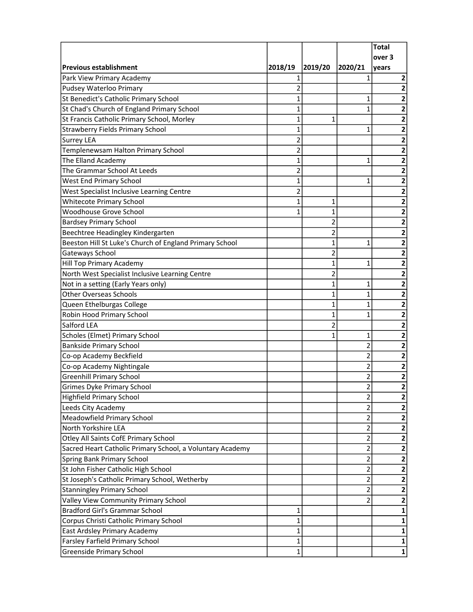|                                                           |                         |                |                | <b>Total</b>            |
|-----------------------------------------------------------|-------------------------|----------------|----------------|-------------------------|
|                                                           |                         |                |                | over 3                  |
| <b>Previous establishment</b>                             | 2018/19                 | 2019/20        | 2020/21        | years                   |
| Park View Primary Academy                                 | 1                       |                | 1              | 2                       |
| Pudsey Waterloo Primary                                   | 2                       |                |                | 2                       |
| St Benedict's Catholic Primary School                     | 1                       |                | 1              | 2                       |
| St Chad's Church of England Primary School                | 1                       |                | 1              | 2                       |
| St Francis Catholic Primary School, Morley                | 1                       | 1              |                | 2                       |
| <b>Strawberry Fields Primary School</b>                   | 1                       |                | 1              | 2                       |
| Surrey LEA                                                | 2                       |                |                | 2                       |
| Templenewsam Halton Primary School                        | $\overline{\mathbf{c}}$ |                |                | 2                       |
| The Elland Academy                                        | 1                       |                | 1              | 2                       |
| The Grammar School At Leeds                               | 2                       |                |                | 2                       |
| West End Primary School                                   | 1                       |                | 1              | 2                       |
| West Specialist Inclusive Learning Centre                 | 2                       |                |                | 2                       |
| <b>Whitecote Primary School</b>                           | 1                       | 1              |                | 2                       |
| Woodhouse Grove School                                    | 1                       | 1              |                | 2                       |
| <b>Bardsey Primary School</b>                             |                         | 2              |                | 2                       |
| Beechtree Headingley Kindergarten                         |                         | $\overline{2}$ |                | 2                       |
| Beeston Hill St Luke's Church of England Primary School   |                         | 1              | 1              | $\overline{\mathbf{2}}$ |
| Gateways School                                           |                         | 2              |                | $\overline{\mathbf{2}}$ |
| Hill Top Primary Academy                                  |                         | 1              | 1              | $\overline{\mathbf{2}}$ |
| North West Specialist Inclusive Learning Centre           |                         | $\overline{c}$ |                | 2                       |
| Not in a setting (Early Years only)                       |                         | 1              | 1              | 2                       |
| <b>Other Overseas Schools</b>                             |                         | 1              | 1              | 2                       |
| Queen Ethelburgas College                                 |                         | 1              | 1              | 2                       |
| Robin Hood Primary School                                 |                         | 1              | 1              | $\overline{\mathbf{2}}$ |
| Salford LEA                                               |                         | 2              |                | 2                       |
| Scholes (Elmet) Primary School                            |                         | 1              | 1              | $\mathbf{2}$            |
| <b>Bankside Primary School</b>                            |                         |                | 2              | 2                       |
| Co-op Academy Beckfield                                   |                         |                | $\overline{2}$ | 2                       |
| Co-op Academy Nightingale                                 |                         |                | $\overline{2}$ | $\overline{\mathbf{2}}$ |
| <b>Greenhill Primary School</b>                           |                         |                | 2              | 2                       |
| Grimes Dyke Primary School                                |                         |                | $\mathfrak{p}$ | 2                       |
| Highfield Primary School                                  |                         |                | 2              | $\mathbf{2}$            |
| Leeds City Academy                                        |                         |                | 2              | $\mathbf{2}$            |
| Meadowfield Primary School                                |                         |                | $\mathbf{2}$   | 2                       |
| North Yorkshire LEA                                       |                         |                | $\mathbf 2$    | $\overline{\mathbf{2}}$ |
| Otley All Saints CofE Primary School                      |                         |                | 2              | $\mathbf{2}$            |
| Sacred Heart Catholic Primary School, a Voluntary Academy |                         |                | $\overline{c}$ | $\mathbf{2}$            |
| <b>Spring Bank Primary School</b>                         |                         |                | $\overline{2}$ | $\mathbf{2}$            |
| St John Fisher Catholic High School                       |                         |                | $\mathbf{2}$   | 2                       |
| St Joseph's Catholic Primary School, Wetherby             |                         |                | $\mathbf{2}$   | 2                       |
| <b>Stanningley Primary School</b>                         |                         |                | $\overline{2}$ | $\mathbf{2}$            |
| Valley View Community Primary School                      |                         |                | 2              | $\mathbf{2}$            |
| <b>Bradford Girl's Grammar School</b>                     | 1                       |                |                | 1                       |
| Corpus Christi Catholic Primary School                    | 1                       |                |                | 1                       |
| East Ardsley Primary Academy                              | 1                       |                |                | 1                       |
| <b>Farsley Farfield Primary School</b>                    | 1                       |                |                | 1                       |
| <b>Greenside Primary School</b>                           | 1                       |                |                | $\mathbf{1}$            |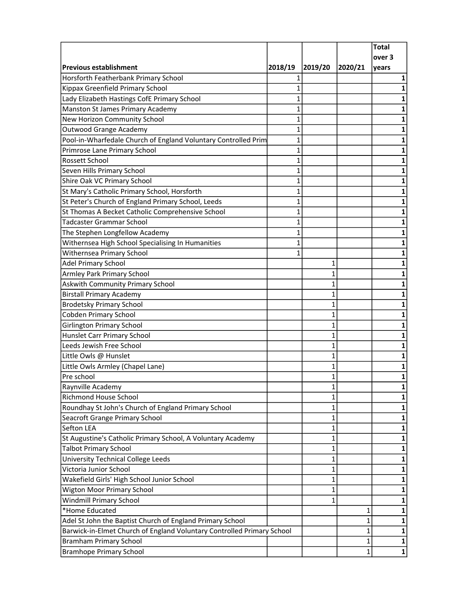|                                                                        |              |              |              | <b>Total</b> |
|------------------------------------------------------------------------|--------------|--------------|--------------|--------------|
|                                                                        |              |              |              | over 3       |
| <b>Previous establishment</b>                                          | 2018/19      | 2019/20      | 2020/21      | years        |
| Horsforth Featherbank Primary School                                   | 1            |              |              | 1            |
| Kippax Greenfield Primary School                                       | $\mathbf{1}$ |              |              | 1            |
| Lady Elizabeth Hastings CofE Primary School                            | 1            |              |              | 1            |
| Manston St James Primary Academy                                       | 1            |              |              | 1            |
| New Horizon Community School                                           | 1            |              |              | 1            |
| <b>Outwood Grange Academy</b>                                          | $\mathbf{1}$ |              |              | 1            |
| Pool-in-Wharfedale Church of England Voluntary Controlled Prim         | 1            |              |              | 1            |
| Primrose Lane Primary School                                           | 1            |              |              | 1            |
| Rossett School                                                         | 1            |              |              | 1            |
| Seven Hills Primary School                                             | 1            |              |              | 1            |
| Shire Oak VC Primary School                                            | 1            |              |              | 1            |
| St Mary's Catholic Primary School, Horsforth                           | 1            |              |              | 1            |
| St Peter's Church of England Primary School, Leeds                     | 1            |              |              | 1            |
| St Thomas A Becket Catholic Comprehensive School                       | 1            |              |              | 1            |
| <b>Tadcaster Grammar School</b>                                        | $\mathbf{1}$ |              |              | 1            |
| The Stephen Longfellow Academy                                         | 1            |              |              | 1            |
| Withernsea High School Specialising In Humanities                      | 1            |              |              | 1            |
| Withernsea Primary School                                              | 1            |              |              | 1            |
| <b>Adel Primary School</b>                                             |              | 1            |              | 1            |
| Armley Park Primary School                                             |              | 1            |              | 1            |
| Askwith Community Primary School                                       |              | 1            |              | 1            |
| <b>Birstall Primary Academy</b>                                        |              | 1            |              | 1            |
| <b>Brodetsky Primary School</b>                                        |              | 1            |              | 1            |
| <b>Cobden Primary School</b>                                           |              | $\mathbf{1}$ |              | 1            |
| <b>Girlington Primary School</b>                                       |              | 1            |              | 1            |
| Hunslet Carr Primary School                                            |              | 1            |              | 1            |
| Leeds Jewish Free School                                               |              | 1            |              | 1            |
| Little Owls @ Hunslet                                                  |              | 1            |              | 1            |
| Little Owls Armley (Chapel Lane)                                       |              | 1            |              | 1            |
| Pre school                                                             |              | 1            |              | 1            |
| Raynville Academy                                                      |              | $\mathbf{1}$ |              | 1            |
| <b>Richmond House School</b>                                           |              | 1            |              | 1            |
| Roundhay St John's Church of England Primary School                    |              | 1            |              | 1            |
| Seacroft Grange Primary School                                         |              | 1            |              | 1            |
| Sefton LEA                                                             |              | 1            |              | 1            |
|                                                                        |              | 1            |              |              |
| St Augustine's Catholic Primary School, A Voluntary Academy            |              | 1            |              | 1            |
| <b>Talbot Primary School</b>                                           |              | $\mathbf{1}$ |              | 1            |
| <b>University Technical College Leeds</b><br>Victoria Junior School    |              |              |              | 1            |
|                                                                        |              | 1            |              | 1            |
| Wakefield Girls' High School Junior School                             |              | 1            |              | 1            |
| <b>Wigton Moor Primary School</b>                                      |              | 1            |              | 1            |
| <b>Windmill Primary School</b>                                         |              | 1            |              | 1            |
| *Home Educated                                                         |              |              | 1            | 1            |
| Adel St John the Baptist Church of England Primary School              |              |              | 1            | 1            |
| Barwick-in-Elmet Church of England Voluntary Controlled Primary School |              |              | $\mathbf{1}$ | 1            |
| <b>Bramham Primary School</b>                                          |              |              | 1            | 1            |
| <b>Bramhope Primary School</b>                                         |              |              | 1            | $\mathbf{1}$ |